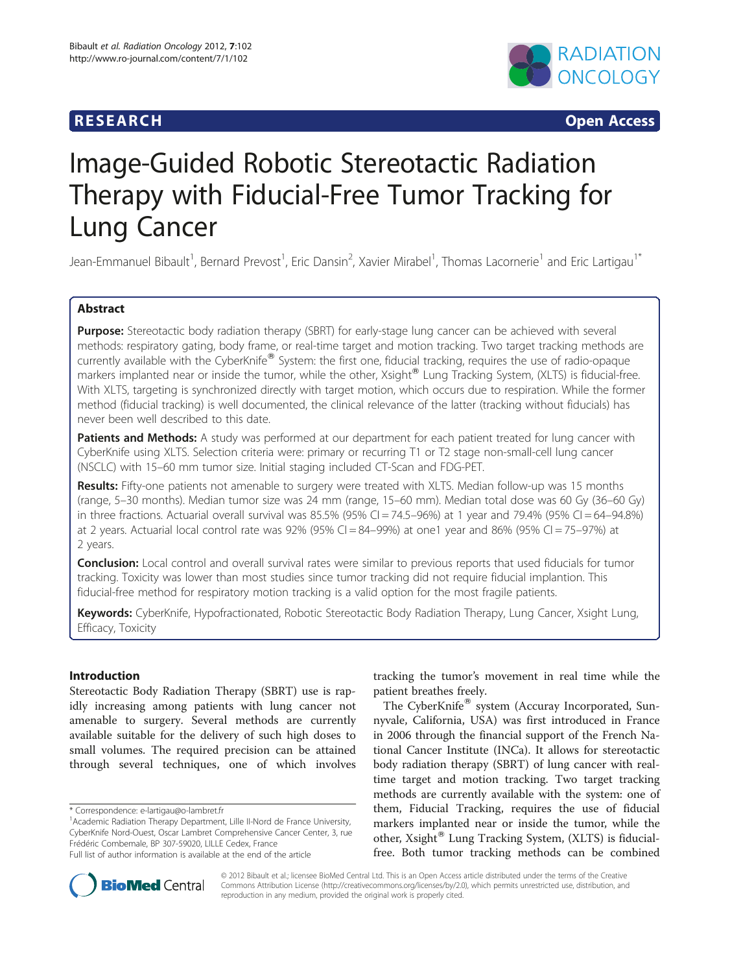# **RESEARCH RESEARCH CONSUMING ACCESS**



# Image-Guided Robotic Stereotactic Radiation Therapy with Fiducial-Free Tumor Tracking for Lung Cancer

Jean-Emmanuel Bibault<sup>1</sup>, Bernard Prevost<sup>1</sup>, Eric Dansin<sup>2</sup>, Xavier Mirabel<sup>1</sup>, Thomas Lacornerie<sup>1</sup> and Eric Lartigau<sup>1\*</sup>

# Abstract

Purpose: Stereotactic body radiation therapy (SBRT) for early-stage lung cancer can be achieved with several methods: respiratory gating, body frame, or real-time target and motion tracking. Two target tracking methods are currently available with the CyberKnife<sup>®</sup> System: the first one, fiducial tracking, requires the use of radio-opaque markers implanted near or inside the tumor, while the other, Xsight® Lung Tracking System, (XLTS) is fiducial-free. With XLTS, targeting is synchronized directly with target motion, which occurs due to respiration. While the former method (fiducial tracking) is well documented, the clinical relevance of the latter (tracking without fiducials) has never been well described to this date.

Patients and Methods: A study was performed at our department for each patient treated for lung cancer with CyberKnife using XLTS. Selection criteria were: primary or recurring T1 or T2 stage non-small-cell lung cancer (NSCLC) with 15–60 mm tumor size. Initial staging included CT-Scan and FDG-PET.

Results: Fifty-one patients not amenable to surgery were treated with XLTS. Median follow-up was 15 months (range, 5–30 months). Median tumor size was 24 mm (range, 15–60 mm). Median total dose was 60 Gy (36–60 Gy) in three fractions. Actuarial overall survival was 85.5% (95% CI = 74.5–96%) at 1 year and 79.4% (95% CI = 64–94.8%) at 2 years. Actuarial local control rate was 92% (95% CI = 84–99%) at one1 year and 86% (95% CI = 75–97%) at 2 years.

**Conclusion:** Local control and overall survival rates were similar to previous reports that used fiducials for tumor tracking. Toxicity was lower than most studies since tumor tracking did not require fiducial implantion. This fiducial-free method for respiratory motion tracking is a valid option for the most fragile patients.

Keywords: CyberKnife, Hypofractionated, Robotic Stereotactic Body Radiation Therapy, Lung Cancer, Xsight Lung, Efficacy, Toxicity

# Introduction

Stereotactic Body Radiation Therapy (SBRT) use is rapidly increasing among patients with lung cancer not amenable to surgery. Several methods are currently available suitable for the delivery of such high doses to small volumes. The required precision can be attained through several techniques, one of which involves

\* Correspondence: e-lartigau@o-lambret.fr

tracking the tumor's movement in real time while the patient breathes freely.

The CyberKnife® system (Accuray Incorporated, Sunnyvale, California, USA) was first introduced in France in 2006 through the financial support of the French National Cancer Institute (INCa). It allows for stereotactic body radiation therapy (SBRT) of lung cancer with realtime target and motion tracking. Two target tracking methods are currently available with the system: one of them, Fiducial Tracking, requires the use of fiducial markers implanted near or inside the tumor, while the other, Xsight<sup>®</sup> Lung Tracking System, (XLTS) is fiducialfree. Both tumor tracking methods can be combined



© 2012 Bibault et al.; licensee BioMed Central Ltd. This is an Open Access article distributed under the terms of the Creative Commons Attribution License [\(http://creativecommons.org/licenses/by/2.0\)](http://creativecommons.org/licenses/by/2.0), which permits unrestricted use, distribution, and reproduction in any medium, provided the original work is properly cited.

<sup>&</sup>lt;sup>1</sup> Academic Radiation Therapy Department, Lille II-Nord de France University, CyberKnife Nord-Ouest, Oscar Lambret Comprehensive Cancer Center, 3, rue Frédéric Combemale, BP 307-59020, LILLE Cedex, France

Full list of author information is available at the end of the article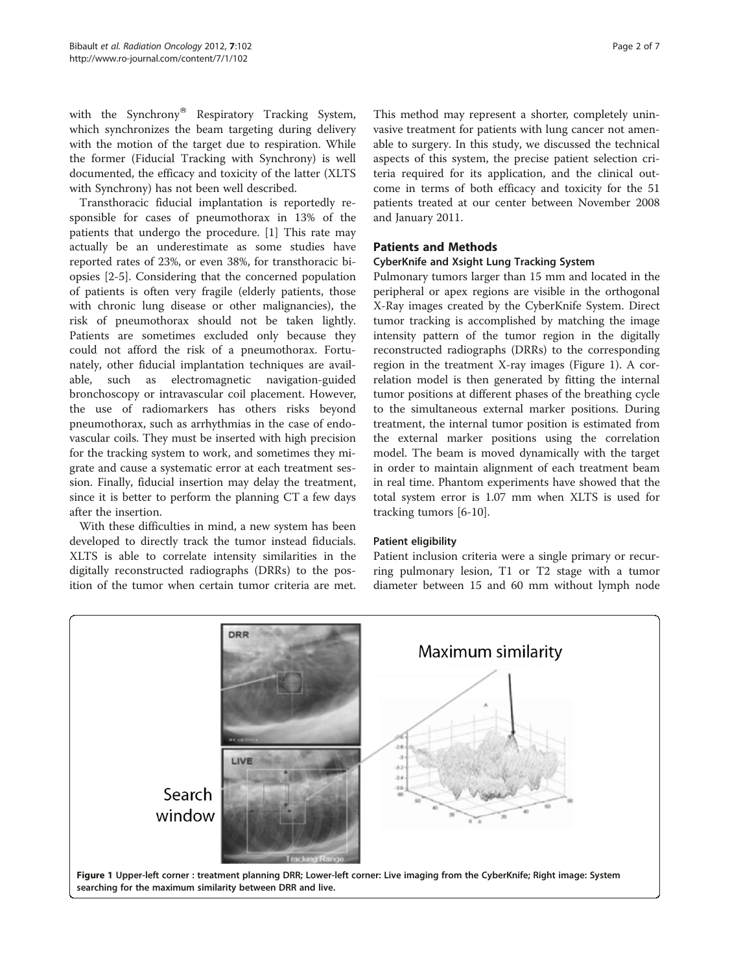with the Synchrony<sup>®</sup> Respiratory Tracking System, which synchronizes the beam targeting during delivery with the motion of the target due to respiration. While the former (Fiducial Tracking with Synchrony) is well documented, the efficacy and toxicity of the latter (XLTS with Synchrony) has not been well described.

Transthoracic fiducial implantation is reportedly responsible for cases of pneumothorax in 13% of the patients that undergo the procedure. [\[1](#page-6-0)] This rate may actually be an underestimate as some studies have reported rates of 23%, or even 38%, for transthoracic biopsies [\[2](#page-6-0)-[5\]](#page-6-0). Considering that the concerned population of patients is often very fragile (elderly patients, those with chronic lung disease or other malignancies), the risk of pneumothorax should not be taken lightly. Patients are sometimes excluded only because they could not afford the risk of a pneumothorax. Fortunately, other fiducial implantation techniques are available, such as electromagnetic navigation-guided bronchoscopy or intravascular coil placement. However, the use of radiomarkers has others risks beyond pneumothorax, such as arrhythmias in the case of endovascular coils. They must be inserted with high precision for the tracking system to work, and sometimes they migrate and cause a systematic error at each treatment session. Finally, fiducial insertion may delay the treatment, since it is better to perform the planning CT a few days after the insertion.

With these difficulties in mind, a new system has been developed to directly track the tumor instead fiducials. XLTS is able to correlate intensity similarities in the digitally reconstructed radiographs (DRRs) to the position of the tumor when certain tumor criteria are met.

This method may represent a shorter, completely uninvasive treatment for patients with lung cancer not amenable to surgery. In this study, we discussed the technical aspects of this system, the precise patient selection criteria required for its application, and the clinical outcome in terms of both efficacy and toxicity for the 51 patients treated at our center between November 2008 and January 2011.

# Patients and Methods

# CyberKnife and Xsight Lung Tracking System

Pulmonary tumors larger than 15 mm and located in the peripheral or apex regions are visible in the orthogonal X-Ray images created by the CyberKnife System. Direct tumor tracking is accomplished by matching the image intensity pattern of the tumor region in the digitally reconstructed radiographs (DRRs) to the corresponding region in the treatment X-ray images (Figure 1). A correlation model is then generated by fitting the internal tumor positions at different phases of the breathing cycle to the simultaneous external marker positions. During treatment, the internal tumor position is estimated from the external marker positions using the correlation model. The beam is moved dynamically with the target in order to maintain alignment of each treatment beam in real time. Phantom experiments have showed that the total system error is 1.07 mm when XLTS is used for tracking tumors [\[6](#page-6-0)-[10\]](#page-6-0).

# Patient eligibility

Patient inclusion criteria were a single primary or recurring pulmonary lesion, T1 or T2 stage with a tumor diameter between 15 and 60 mm without lymph node

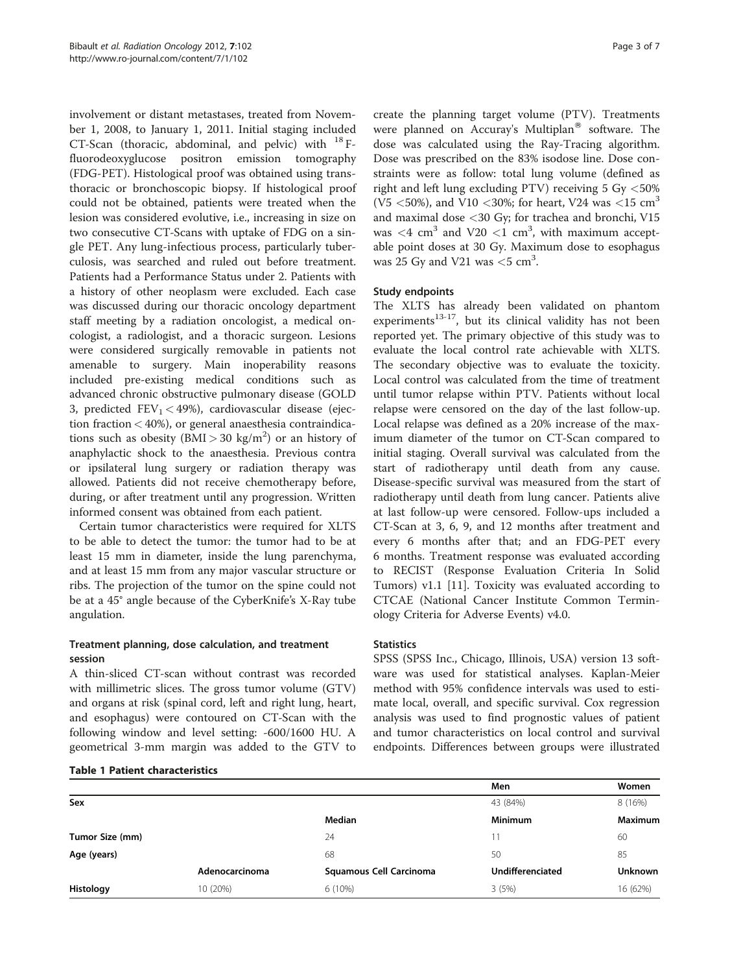<span id="page-2-0"></span>involvement or distant metastases, treated from November 1, 2008, to January 1, 2011. Initial staging included CT-Scan (thoracic, abdominal, and pelvic) with  $^{18}$  Ffluorodeoxyglucose positron emission tomography (FDG-PET). Histological proof was obtained using transthoracic or bronchoscopic biopsy. If histological proof could not be obtained, patients were treated when the lesion was considered evolutive, i.e., increasing in size on two consecutive CT-Scans with uptake of FDG on a single PET. Any lung-infectious process, particularly tuberculosis, was searched and ruled out before treatment. Patients had a Performance Status under 2. Patients with a history of other neoplasm were excluded. Each case was discussed during our thoracic oncology department staff meeting by a radiation oncologist, a medical oncologist, a radiologist, and a thoracic surgeon. Lesions were considered surgically removable in patients not amenable to surgery. Main inoperability reasons included pre-existing medical conditions such as advanced chronic obstructive pulmonary disease (GOLD 3, predicted  $FEV_1 < 49\%$ ), cardiovascular disease (ejection fraction < 40%), or general anaesthesia contraindications such as obesity  $(BMI > 30 \text{ kg/m}^2)$  or an history of anaphylactic shock to the anaesthesia. Previous contra or ipsilateral lung surgery or radiation therapy was allowed. Patients did not receive chemotherapy before, during, or after treatment until any progression. Written informed consent was obtained from each patient.

Certain tumor characteristics were required for XLTS to be able to detect the tumor: the tumor had to be at least 15 mm in diameter, inside the lung parenchyma, and at least 15 mm from any major vascular structure or ribs. The projection of the tumor on the spine could not be at a 45° angle because of the CyberKnife's X-Ray tube angulation.

# Treatment planning, dose calculation, and treatment session

A thin-sliced CT-scan without contrast was recorded with millimetric slices. The gross tumor volume (GTV) and organs at risk (spinal cord, left and right lung, heart, and esophagus) were contoured on CT-Scan with the following window and level setting: -600/1600 HU. A geometrical 3-mm margin was added to the GTV to

create the planning target volume (PTV). Treatments were planned on Accuray's Multiplan<sup>®</sup> software. The dose was calculated using the Ray-Tracing algorithm. Dose was prescribed on the 83% isodose line. Dose constraints were as follow: total lung volume (defined as right and left lung excluding PTV) receiving 5 Gy <50% (V5  $<$  50%), and V10  $<$  30%; for heart, V24 was  $<$  15 cm<sup>3</sup> and maximal dose <30 Gy; for trachea and bronchi, V15 was  $\langle 4 \text{ cm}^3 \rangle$  and V20  $\langle 1 \text{ cm}^3 \rangle$ , with maximum acceptable point doses at 30 Gy. Maximum dose to esophagus was 25 Gy and V21 was  $<$  5 cm<sup>3</sup>.

# Study endpoints

The XLTS has already been validated on phantom experiments $13-17$ , but its clinical validity has not been reported yet. The primary objective of this study was to evaluate the local control rate achievable with XLTS. The secondary objective was to evaluate the toxicity. Local control was calculated from the time of treatment until tumor relapse within PTV. Patients without local relapse were censored on the day of the last follow-up. Local relapse was defined as a 20% increase of the maximum diameter of the tumor on CT-Scan compared to initial staging. Overall survival was calculated from the start of radiotherapy until death from any cause. Disease-specific survival was measured from the start of radiotherapy until death from lung cancer. Patients alive at last follow-up were censored. Follow-ups included a CT-Scan at 3, 6, 9, and 12 months after treatment and every 6 months after that; and an FDG-PET every 6 months. Treatment response was evaluated according to RECIST (Response Evaluation Criteria In Solid Tumors) v1.1 [\[11\]](#page-6-0). Toxicity was evaluated according to CTCAE (National Cancer Institute Common Terminology Criteria for Adverse Events) v4.0.

## **Statistics**

SPSS (SPSS Inc., Chicago, Illinois, USA) version 13 software was used for statistical analyses. Kaplan-Meier method with 95% confidence intervals was used to estimate local, overall, and specific survival. Cox regression analysis was used to find prognostic values of patient and tumor characteristics on local control and survival endpoints. Differences between groups were illustrated

# Men Women Sex  $\frac{43}{(84\%)}$  8 (16%) Median **Minimum** Minimum Maximum **Tumor Size (mm)**  $24$   $24$   $11$   $60$ **Age (years)** 68 50 85 Adenocarcinoma Squamous Cell Carcinoma Undifferenciated Unknown Histology 10 (20%) 6 (10%) 3 (5%) 16 (62%)

# Table 1 Patient characteristics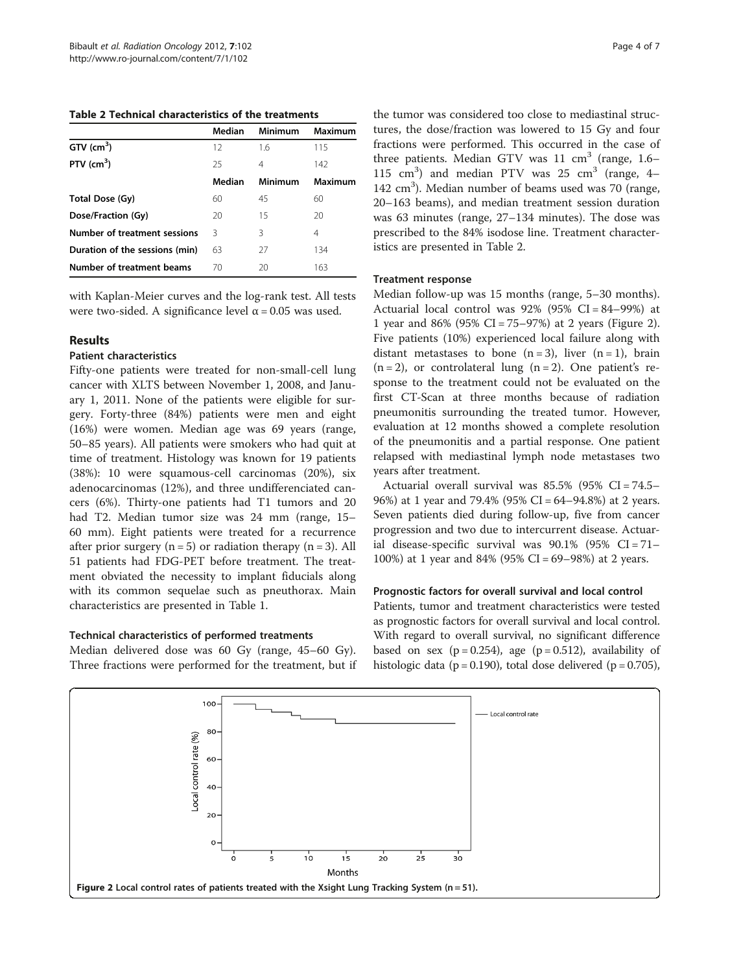Table 2 Technical characteristics of the treatments

|                                | Median | Minimum | Maximum |
|--------------------------------|--------|---------|---------|
| $GTV$ (cm <sup>3</sup> )       | 12     | 1.6     | 115     |
| PTV $(cm^3)$                   | 25     | 4       | 142     |
|                                | Median | Minimum | Maximum |
| Total Dose (Gy)                | 60     | 45      | 60      |
| Dose/Fraction (Gy)             | 20     | 15      | 20      |
| Number of treatment sessions   | ζ      | 3       | 4       |
| Duration of the sessions (min) | 63     | 27      | 134     |
| Number of treatment beams      | 70     | 20      | 163     |

with Kaplan-Meier curves and the log-rank test. All tests were two-sided. A significance level  $\alpha$  = 0.05 was used.

## Results

#### Patient characteristics

Fifty-one patients were treated for non-small-cell lung cancer with XLTS between November 1, 2008, and January 1, 2011. None of the patients were eligible for surgery. Forty-three (84%) patients were men and eight (16%) were women. Median age was 69 years (range, 50–85 years). All patients were smokers who had quit at time of treatment. Histology was known for 19 patients (38%): 10 were squamous-cell carcinomas (20%), six adenocarcinomas (12%), and three undifferenciated cancers (6%). Thirty-one patients had T1 tumors and 20 had T2. Median tumor size was 24 mm (range, 15– 60 mm). Eight patients were treated for a recurrence after prior surgery  $(n = 5)$  or radiation therapy  $(n = 3)$ . All 51 patients had FDG-PET before treatment. The treatment obviated the necessity to implant fiducials along with its common sequelae such as pneuthorax. Main characteristics are presented in Table [1.](#page-2-0)

# Technical characteristics of performed treatments

Median delivered dose was 60 Gy (range, 45–60 Gy). Three fractions were performed for the treatment, but if the tumor was considered too close to mediastinal structures, the dose/fraction was lowered to 15 Gy and four fractions were performed. This occurred in the case of three patients. Median GTV was  $11 \text{ cm}^3$  (range, 1.6– 115  $\text{cm}^3$ ) and median PTV was 25  $\text{cm}^3$  (range, 4-142 cm<sup>3</sup>). Median number of beams used was 70 (range, 20–163 beams), and median treatment session duration was 63 minutes (range, 27–134 minutes). The dose was prescribed to the 84% isodose line. Treatment characteristics are presented in Table 2.

#### Treatment response

Median follow-up was 15 months (range, 5–30 months). Actuarial local control was  $92\%$  ( $95\%$  CI =  $84-99\%$ ) at 1 year and 86% (95% CI = 75–97%) at 2 years (Figure 2). Five patients (10%) experienced local failure along with distant metastases to bone  $(n=3)$ , liver  $(n=1)$ , brain  $(n=2)$ , or controlateral lung  $(n=2)$ . One patient's response to the treatment could not be evaluated on the first CT-Scan at three months because of radiation pneumonitis surrounding the treated tumor. However, evaluation at 12 months showed a complete resolution of the pneumonitis and a partial response. One patient relapsed with mediastinal lymph node metastases two years after treatment.

Actuarial overall survival was 85.5% (95% CI = 74.5– 96%) at 1 year and 79.4% (95% CI = 64–94.8%) at 2 years. Seven patients died during follow-up, five from cancer progression and two due to intercurrent disease. Actuarial disease-specific survival was  $90.1\%$  (95% CI = 71– 100%) at 1 year and 84% (95% CI = 69–98%) at 2 years.

## Prognostic factors for overall survival and local control

Patients, tumor and treatment characteristics were tested as prognostic factors for overall survival and local control. With regard to overall survival, no significant difference based on sex ( $p = 0.254$ ), age ( $p = 0.512$ ), availability of histologic data ( $p = 0.190$ ), total dose delivered ( $p = 0.705$ ),

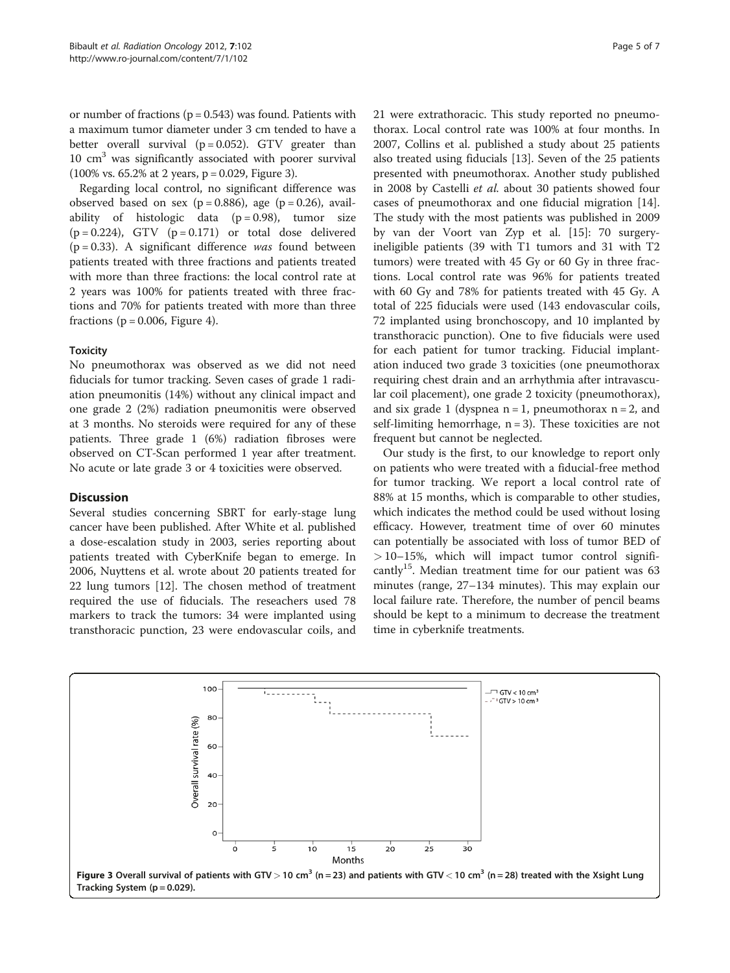or number of fractions ( $p = 0.543$ ) was found. Patients with a maximum tumor diameter under 3 cm tended to have a better overall survival  $(p = 0.052)$ . GTV greater than  $10 \text{ cm}^3$  was significantly associated with poorer survival  $(100\% \text{ vs. } 65.2\% \text{ at } 2 \text{ years}, \text{ p} = 0.029, \text{ Figure 3}).$ 

Regarding local control, no significant difference was observed based on sex ( $p = 0.886$ ), age ( $p = 0.26$ ), availability of histologic data  $(p=0.98)$ , tumor size  $(p = 0.224)$ , GTV  $(p = 0.171)$  or total dose delivered  $(p = 0.33)$ . A significant difference was found between patients treated with three fractions and patients treated with more than three fractions: the local control rate at 2 years was 100% for patients treated with three fractions and 70% for patients treated with more than three fractions ( $p = 0.006$ , Figure [4\)](#page-5-0).

# **Toxicity**

No pneumothorax was observed as we did not need fiducials for tumor tracking. Seven cases of grade 1 radiation pneumonitis (14%) without any clinical impact and one grade 2 (2%) radiation pneumonitis were observed at 3 months. No steroids were required for any of these patients. Three grade 1 (6%) radiation fibroses were observed on CT-Scan performed 1 year after treatment. No acute or late grade 3 or 4 toxicities were observed.

# **Discussion**

Several studies concerning SBRT for early-stage lung cancer have been published. After White et al. published a dose-escalation study in 2003, series reporting about patients treated with CyberKnife began to emerge. In 2006, Nuyttens et al. wrote about 20 patients treated for 22 lung tumors [[12\]](#page-6-0). The chosen method of treatment required the use of fiducials. The reseachers used 78 markers to track the tumors: 34 were implanted using transthoracic punction, 23 were endovascular coils, and 21 were extrathoracic. This study reported no pneumothorax. Local control rate was 100% at four months. In 2007, Collins et al. published a study about 25 patients also treated using fiducials [[13](#page-6-0)]. Seven of the 25 patients presented with pneumothorax. Another study published in 2008 by Castelli et al. about 30 patients showed four cases of pneumothorax and one fiducial migration [\[14](#page-6-0)]. The study with the most patients was published in 2009 by van der Voort van Zyp et al. [\[15](#page-6-0)]: 70 surgeryineligible patients (39 with T1 tumors and 31 with T2 tumors) were treated with 45 Gy or 60 Gy in three fractions. Local control rate was 96% for patients treated with 60 Gy and 78% for patients treated with 45 Gy. A total of 225 fiducials were used (143 endovascular coils, 72 implanted using bronchoscopy, and 10 implanted by transthoracic punction). One to five fiducials were used for each patient for tumor tracking. Fiducial implantation induced two grade 3 toxicities (one pneumothorax requiring chest drain and an arrhythmia after intravascular coil placement), one grade 2 toxicity (pneumothorax), and six grade 1 (dyspnea  $n = 1$ , pneumothorax  $n = 2$ , and self-limiting hemorrhage,  $n = 3$ ). These toxicities are not frequent but cannot be neglected.

Our study is the first, to our knowledge to report only on patients who were treated with a fiducial-free method for tumor tracking. We report a local control rate of 88% at 15 months, which is comparable to other studies, which indicates the method could be used without losing efficacy. However, treatment time of over 60 minutes can potentially be associated with loss of tumor BED of  $> 10-15$ %, which will impact tumor control significantly<sup>15</sup>. Median treatment time for our patient was  $63$ minutes (range, 27–134 minutes). This may explain our local failure rate. Therefore, the number of pencil beams should be kept to a minimum to decrease the treatment time in cyberknife treatments.

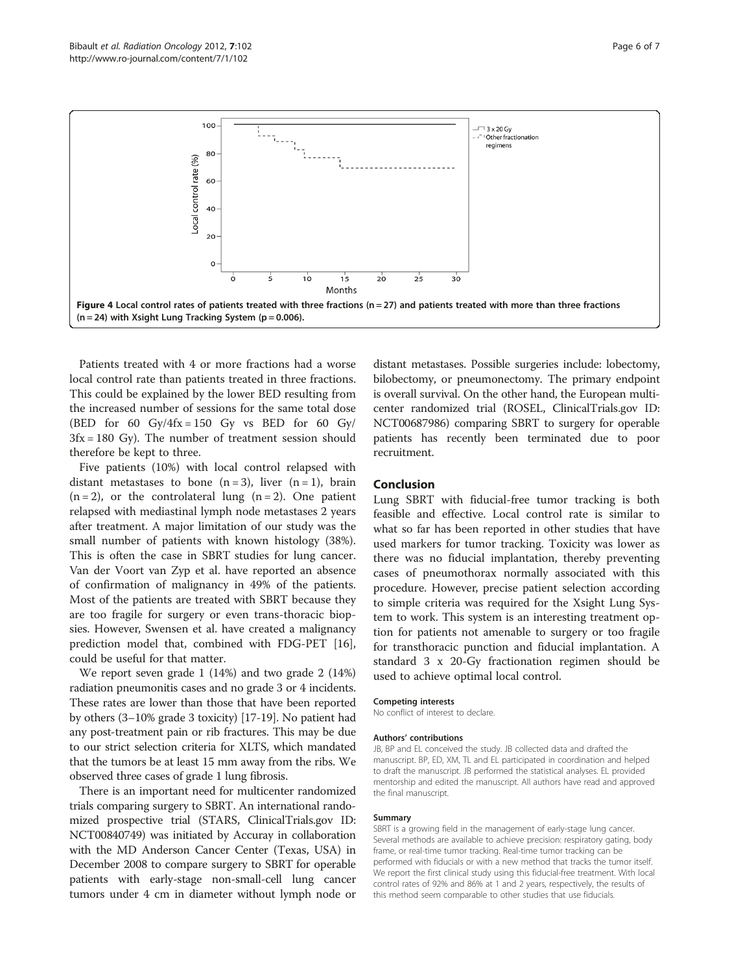<span id="page-5-0"></span>

Patients treated with 4 or more fractions had a worse local control rate than patients treated in three fractions. This could be explained by the lower BED resulting from the increased number of sessions for the same total dose (BED for 60 Gy/4fx = 150 Gy vs BED for 60 Gy/  $3fx = 180$  Gy). The number of treatment session should therefore be kept to three.

Five patients (10%) with local control relapsed with distant metastases to bone  $(n=3)$ , liver  $(n=1)$ , brain  $(n = 2)$ , or the controlateral lung  $(n = 2)$ . One patient relapsed with mediastinal lymph node metastases 2 years after treatment. A major limitation of our study was the small number of patients with known histology (38%). This is often the case in SBRT studies for lung cancer. Van der Voort van Zyp et al. have reported an absence of confirmation of malignancy in 49% of the patients. Most of the patients are treated with SBRT because they are too fragile for surgery or even trans-thoracic biopsies. However, Swensen et al. have created a malignancy prediction model that, combined with FDG-PET [\[16](#page-6-0)], could be useful for that matter.

We report seven grade 1 (14%) and two grade 2 (14%) radiation pneumonitis cases and no grade 3 or 4 incidents. These rates are lower than those that have been reported by others (3–10% grade 3 toxicity) [[17](#page-6-0)-[19](#page-6-0)]. No patient had any post-treatment pain or rib fractures. This may be due to our strict selection criteria for XLTS, which mandated that the tumors be at least 15 mm away from the ribs. We observed three cases of grade 1 lung fibrosis.

There is an important need for multicenter randomized trials comparing surgery to SBRT. An international randomized prospective trial (STARS, ClinicalTrials.gov ID: NCT00840749) was initiated by Accuray in collaboration with the MD Anderson Cancer Center (Texas, USA) in December 2008 to compare surgery to SBRT for operable patients with early-stage non-small-cell lung cancer tumors under 4 cm in diameter without lymph node or

distant metastases. Possible surgeries include: lobectomy, bilobectomy, or pneumonectomy. The primary endpoint is overall survival. On the other hand, the European multicenter randomized trial (ROSEL, ClinicalTrials.gov ID: NCT00687986) comparing SBRT to surgery for operable patients has recently been terminated due to poor recruitment.

# Conclusion

Lung SBRT with fiducial-free tumor tracking is both feasible and effective. Local control rate is similar to what so far has been reported in other studies that have used markers for tumor tracking. Toxicity was lower as there was no fiducial implantation, thereby preventing cases of pneumothorax normally associated with this procedure. However, precise patient selection according to simple criteria was required for the Xsight Lung System to work. This system is an interesting treatment option for patients not amenable to surgery or too fragile for transthoracic punction and fiducial implantation. A standard 3 x 20-Gy fractionation regimen should be used to achieve optimal local control.

#### Competing interests

No conflict of interest to declare.

#### Authors' contributions

JB, BP and EL conceived the study. JB collected data and drafted the manuscript. BP, ED, XM, TL and EL participated in coordination and helped to draft the manuscript. JB performed the statistical analyses. EL provided mentorship and edited the manuscript. All authors have read and approved the final manuscript.

#### Summary

SBRT is a growing field in the management of early-stage lung cancer. Several methods are available to achieve precision: respiratory gating, body frame, or real-time tumor tracking. Real-time tumor tracking can be performed with fiducials or with a new method that tracks the tumor itself. We report the first clinical study using this fiducial-free treatment. With local control rates of 92% and 86% at 1 and 2 years, respectively, the results of this method seem comparable to other studies that use fiducials.